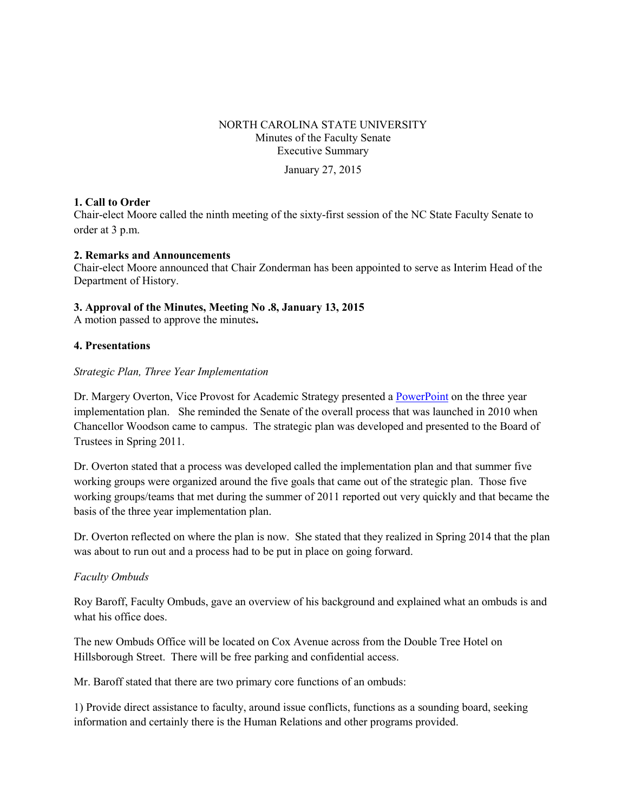### NORTH CAROLINA STATE UNIVERSITY Minutes of the Faculty Senate Executive Summary

January 27, 2015

#### **1. Call to Order**

Chair-elect Moore called the ninth meeting of the sixty-first session of the NC State Faculty Senate to order at 3 p.m.

#### **2. Remarks and Announcements**

Chair-elect Moore announced that Chair Zonderman has been appointed to serve as Interim Head of the Department of History.

#### **3. Approval of the Minutes, Meeting No .8, January 13, 2015**

A motion passed to approve the minutes**.** 

#### **4. Presentations**

#### *Strategic Plan, Three Year Implementation*

Dr. Margery Overton, Vice Provost for Academic Strategy presented a [PowerPoint](http://www.ncsu.edu/faculty_senate/documents/1.27.15-StrategicPlanImplementation.pdf) on the three year implementation plan. She reminded the Senate of the overall process that was launched in 2010 when Chancellor Woodson came to campus. The strategic plan was developed and presented to the Board of Trustees in Spring 2011.

Dr. Overton stated that a process was developed called the implementation plan and that summer five working groups were organized around the five goals that came out of the strategic plan. Those five working groups/teams that met during the summer of 2011 reported out very quickly and that became the basis of the three year implementation plan.

Dr. Overton reflected on where the plan is now. She stated that they realized in Spring 2014 that the plan was about to run out and a process had to be put in place on going forward.

#### *Faculty Ombuds*

Roy Baroff, Faculty Ombuds, gave an overview of his background and explained what an ombuds is and what his office does.

The new Ombuds Office will be located on Cox Avenue across from the Double Tree Hotel on Hillsborough Street. There will be free parking and confidential access.

Mr. Baroff stated that there are two primary core functions of an ombuds:

1) Provide direct assistance to faculty, around issue conflicts, functions as a sounding board, seeking information and certainly there is the Human Relations and other programs provided.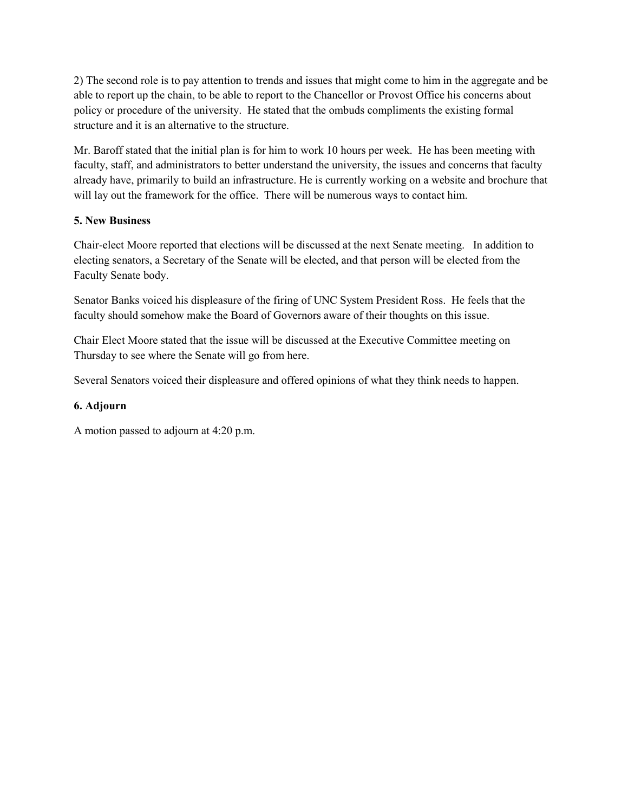2) The second role is to pay attention to trends and issues that might come to him in the aggregate and be able to report up the chain, to be able to report to the Chancellor or Provost Office his concerns about policy or procedure of the university. He stated that the ombuds compliments the existing formal structure and it is an alternative to the structure.

Mr. Baroff stated that the initial plan is for him to work 10 hours per week. He has been meeting with faculty, staff, and administrators to better understand the university, the issues and concerns that faculty already have, primarily to build an infrastructure. He is currently working on a website and brochure that will lay out the framework for the office. There will be numerous ways to contact him.

### **5. New Business**

Chair-elect Moore reported that elections will be discussed at the next Senate meeting. In addition to electing senators, a Secretary of the Senate will be elected, and that person will be elected from the Faculty Senate body.

Senator Banks voiced his displeasure of the firing of UNC System President Ross. He feels that the faculty should somehow make the Board of Governors aware of their thoughts on this issue.

Chair Elect Moore stated that the issue will be discussed at the Executive Committee meeting on Thursday to see where the Senate will go from here.

Several Senators voiced their displeasure and offered opinions of what they think needs to happen.

### **6. Adjourn**

A motion passed to adjourn at 4:20 p.m.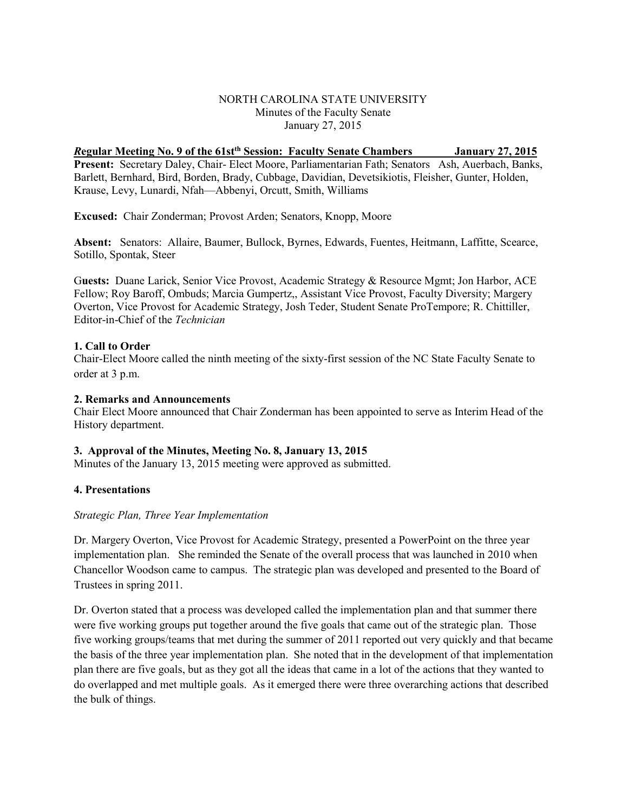#### NORTH CAROLINA STATE UNIVERSITY Minutes of the Faculty Senate January 27, 2015

### *R***egular Meeting No. 9 of the 61stth Session: Faculty Senate Chambers January 27, 2015**

**Present:** Secretary Daley, Chair- Elect Moore, Parliamentarian Fath; Senators Ash, Auerbach, Banks, Barlett, Bernhard, Bird, Borden, Brady, Cubbage, Davidian, Devetsikiotis, Fleisher, Gunter, Holden, Krause, Levy, Lunardi, Nfah—Abbenyi, Orcutt, Smith, Williams

**Excused:** Chair Zonderman; Provost Arden; Senators, Knopp, Moore

**Absent:** Senators: Allaire, Baumer, Bullock, Byrnes, Edwards, Fuentes, Heitmann, Laffitte, Scearce, Sotillo, Spontak, Steer

G**uests:** Duane Larick, Senior Vice Provost, Academic Strategy & Resource Mgmt; Jon Harbor, ACE Fellow; Roy Baroff, Ombuds; Marcia Gumpertz,, Assistant Vice Provost, Faculty Diversity; Margery Overton, Vice Provost for Academic Strategy, Josh Teder, Student Senate ProTempore; R. Chittiller, Editor-in-Chief of the *Technician*

#### **1. Call to Order**

Chair-Elect Moore called the ninth meeting of the sixty-first session of the NC State Faculty Senate to order at 3 p.m.

#### **2. Remarks and Announcements**

Chair Elect Moore announced that Chair Zonderman has been appointed to serve as Interim Head of the History department.

#### **3. Approval of the Minutes, Meeting No. 8, January 13, 2015**

Minutes of the January 13, 2015 meeting were approved as submitted.

#### **4. Presentations**

#### *Strategic Plan, Three Year Implementation*

Dr. Margery Overton, Vice Provost for Academic Strategy, presented a PowerPoint on the three year implementation plan. She reminded the Senate of the overall process that was launched in 2010 when Chancellor Woodson came to campus. The strategic plan was developed and presented to the Board of Trustees in spring 2011.

Dr. Overton stated that a process was developed called the implementation plan and that summer there were five working groups put together around the five goals that came out of the strategic plan. Those five working groups/teams that met during the summer of 2011 reported out very quickly and that became the basis of the three year implementation plan. She noted that in the development of that implementation plan there are five goals, but as they got all the ideas that came in a lot of the actions that they wanted to do overlapped and met multiple goals. As it emerged there were three overarching actions that described the bulk of things.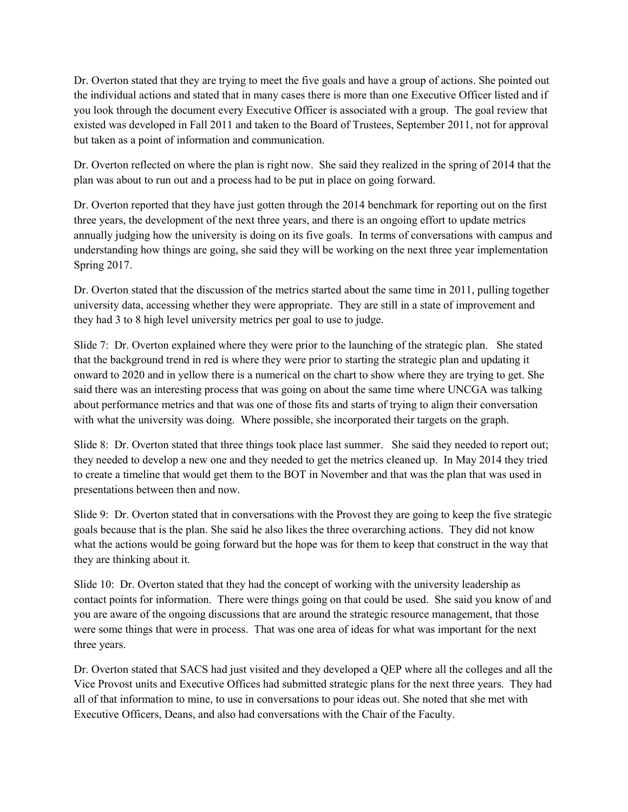Dr. Overton stated that they are trying to meet the five goals and have a group of actions. She pointed out the individual actions and stated that in many cases there is more than one Executive Officer listed and if you look through the document every Executive Officer is associated with a group. The goal review that existed was developed in Fall 2011 and taken to the Board of Trustees, September 2011, not for approval but taken as a point of information and communication.

Dr. Overton reflected on where the plan is right now. She said they realized in the spring of 2014 that the plan was about to run out and a process had to be put in place on going forward.

Dr. Overton reported that they have just gotten through the 2014 benchmark for reporting out on the first three years, the development of the next three years, and there is an ongoing effort to update metrics annually judging how the university is doing on its five goals. In terms of conversations with campus and understanding how things are going, she said they will be working on the next three year implementation Spring 2017.

Dr. Overton stated that the discussion of the metrics started about the same time in 2011, pulling together university data, accessing whether they were appropriate. They are still in a state of improvement and they had 3 to 8 high level university metrics per goal to use to judge.

Slide 7: Dr. Overton explained where they were prior to the launching of the strategic plan. She stated that the background trend in red is where they were prior to starting the strategic plan and updating it onward to 2020 and in yellow there is a numerical on the chart to show where they are trying to get. She said there was an interesting process that was going on about the same time where UNCGA was talking about performance metrics and that was one of those fits and starts of trying to align their conversation with what the university was doing. Where possible, she incorporated their targets on the graph.

Slide 8: Dr. Overton stated that three things took place last summer. She said they needed to report out; they needed to develop a new one and they needed to get the metrics cleaned up. In May 2014 they tried to create a timeline that would get them to the BOT in November and that was the plan that was used in presentations between then and now.

Slide 9: Dr. Overton stated that in conversations with the Provost they are going to keep the five strategic goals because that is the plan. She said he also likes the three overarching actions. They did not know what the actions would be going forward but the hope was for them to keep that construct in the way that they are thinking about it.

Slide 10: Dr. Overton stated that they had the concept of working with the university leadership as contact points for information. There were things going on that could be used. She said you know of and you are aware of the ongoing discussions that are around the strategic resource management, that those were some things that were in process. That was one area of ideas for what was important for the next three years.

Dr. Overton stated that SACS had just visited and they developed a QEP where all the colleges and all the Vice Provost units and Executive Offices had submitted strategic plans for the next three years. They had all of that information to mine, to use in conversations to pour ideas out. She noted that she met with Executive Officers, Deans, and also had conversations with the Chair of the Faculty.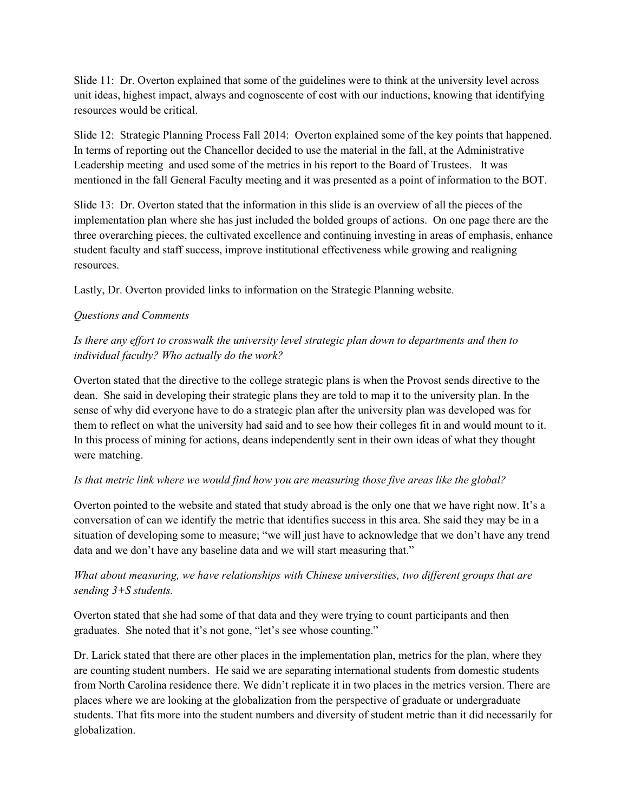Slide 11: Dr. Overton explained that some of the guidelines were to think at the university level across unit ideas, highest impact, always and cognoscente of cost with our inductions, knowing that identifying resources would be critical.

Slide 12: Strategic Planning Process Fall 2014: Overton explained some of the key points that happened. In terms of reporting out the Chancellor decided to use the material in the fall, at the Administrative Leadership meeting and used some of the metrics in his report to the Board of Trustees. It was mentioned in the fall General Faculty meeting and it was presented as a point of information to the BOT.

Slide 13: Dr. Overton stated that the information in this slide is an overview of all the pieces of the implementation plan where she has just included the bolded groups of actions. On one page there are the three overarching pieces, the cultivated excellence and continuing investing in areas of emphasis, enhance student faculty and staff success, improve institutional effectiveness while growing and realigning resources.

Lastly, Dr. Overton provided links to information on the Strategic Planning website.

## *Questions and Comments*

# *Is there any effort to crosswalk the university level strategic plan down to departments and then to individual faculty? Who actually do the work?*

Overton stated that the directive to the college strategic plans is when the Provost sends directive to the dean. She said in developing their strategic plans they are told to map it to the university plan. In the sense of why did everyone have to do a strategic plan after the university plan was developed was for them to reflect on what the university had said and to see how their colleges fit in and would mount to it. In this process of mining for actions, deans independently sent in their own ideas of what they thought were matching.

### *Is that metric link where we would find how you are measuring those five areas like the global?*

Overton pointed to the website and stated that study abroad is the only one that we have right now. It's a conversation of can we identify the metric that identifies success in this area. She said they may be in a situation of developing some to measure; "we will just have to acknowledge that we don't have any trend data and we don't have any baseline data and we will start measuring that."

# *What about measuring, we have relationships with Chinese universities, two different groups that are sending 3+S students.*

Overton stated that she had some of that data and they were trying to count participants and then graduates. She noted that it's not gone, "let's see whose counting."

Dr. Larick stated that there are other places in the implementation plan, metrics for the plan, where they are counting student numbers. He said we are separating international students from domestic students from North Carolina residence there. We didn't replicate it in two places in the metrics version. There are places where we are looking at the globalization from the perspective of graduate or undergraduate students. That fits more into the student numbers and diversity of student metric than it did necessarily for globalization.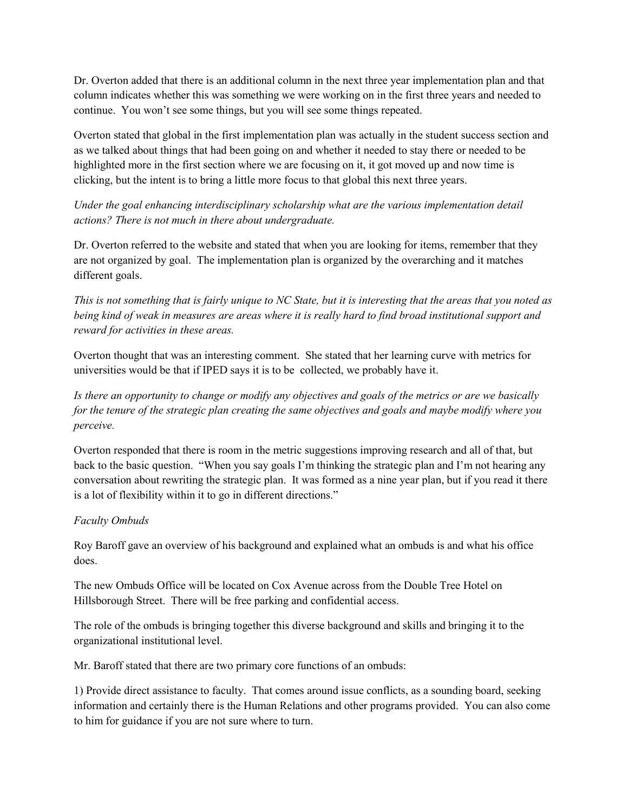Dr. Overton added that there is an additional column in the next three year implementation plan and that column indicates whether this was something we were working on in the first three years and needed to continue. You won't see some things, but you will see some things repeated.

Overton stated that global in the first implementation plan was actually in the student success section and as we talked about things that had been going on and whether it needed to stay there or needed to be highlighted more in the first section where we are focusing on it, it got moved up and now time is clicking, but the intent is to bring a little more focus to that global this next three years.

# *Under the goal enhancing interdisciplinary scholarship what are the various implementation detail actions? There is not much in there about undergraduate.*

Dr. Overton referred to the website and stated that when you are looking for items, remember that they are not organized by goal. The implementation plan is organized by the overarching and it matches different goals.

*This is not something that is fairly unique to NC State, but it is interesting that the areas that you noted as being kind of weak in measures are areas where it is really hard to find broad institutional support and reward for activities in these areas.* 

Overton thought that was an interesting comment. She stated that her learning curve with metrics for universities would be that if IPED says it is to be collected, we probably have it.

*Is there an opportunity to change or modify any objectives and goals of the metrics or are we basically for the tenure of the strategic plan creating the same objectives and goals and maybe modify where you perceive.*

Overton responded that there is room in the metric suggestions improving research and all of that, but back to the basic question. "When you say goals I'm thinking the strategic plan and I'm not hearing any conversation about rewriting the strategic plan. It was formed as a nine year plan, but if you read it there is a lot of flexibility within it to go in different directions."

### *Faculty Ombuds*

Roy Baroff gave an overview of his background and explained what an ombuds is and what his office does.

The new Ombuds Office will be located on Cox Avenue across from the Double Tree Hotel on Hillsborough Street. There will be free parking and confidential access.

The role of the ombuds is bringing together this diverse background and skills and bringing it to the organizational institutional level.

Mr. Baroff stated that there are two primary core functions of an ombuds:

1) Provide direct assistance to faculty. That comes around issue conflicts, as a sounding board, seeking information and certainly there is the Human Relations and other programs provided. You can also come to him for guidance if you are not sure where to turn.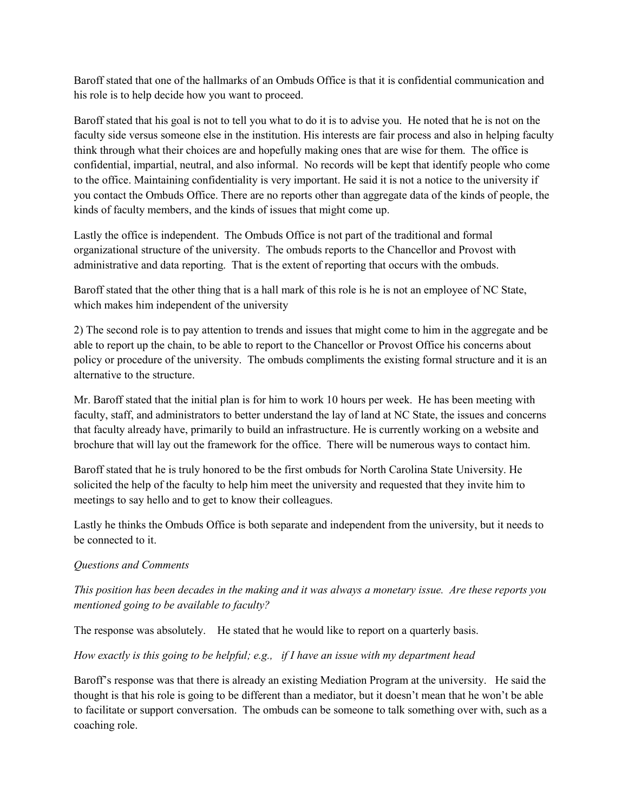Baroff stated that one of the hallmarks of an Ombuds Office is that it is confidential communication and his role is to help decide how you want to proceed.

Baroff stated that his goal is not to tell you what to do it is to advise you. He noted that he is not on the faculty side versus someone else in the institution. His interests are fair process and also in helping faculty think through what their choices are and hopefully making ones that are wise for them. The office is confidential, impartial, neutral, and also informal. No records will be kept that identify people who come to the office. Maintaining confidentiality is very important. He said it is not a notice to the university if you contact the Ombuds Office. There are no reports other than aggregate data of the kinds of people, the kinds of faculty members, and the kinds of issues that might come up.

Lastly the office is independent. The Ombuds Office is not part of the traditional and formal organizational structure of the university. The ombuds reports to the Chancellor and Provost with administrative and data reporting. That is the extent of reporting that occurs with the ombuds.

Baroff stated that the other thing that is a hall mark of this role is he is not an employee of NC State, which makes him independent of the university

2) The second role is to pay attention to trends and issues that might come to him in the aggregate and be able to report up the chain, to be able to report to the Chancellor or Provost Office his concerns about policy or procedure of the university. The ombuds compliments the existing formal structure and it is an alternative to the structure.

Mr. Baroff stated that the initial plan is for him to work 10 hours per week. He has been meeting with faculty, staff, and administrators to better understand the lay of land at NC State, the issues and concerns that faculty already have, primarily to build an infrastructure. He is currently working on a website and brochure that will lay out the framework for the office. There will be numerous ways to contact him.

Baroff stated that he is truly honored to be the first ombuds for North Carolina State University. He solicited the help of the faculty to help him meet the university and requested that they invite him to meetings to say hello and to get to know their colleagues.

Lastly he thinks the Ombuds Office is both separate and independent from the university, but it needs to be connected to it.

### *Questions and Comments*

*This position has been decades in the making and it was always a monetary issue. Are these reports you mentioned going to be available to faculty?*

The response was absolutely. He stated that he would like to report on a quarterly basis.

### *How exactly is this going to be helpful; e.g., if I have an issue with my department head*

Baroff's response was that there is already an existing Mediation Program at the university. He said the thought is that his role is going to be different than a mediator, but it doesn't mean that he won't be able to facilitate or support conversation. The ombuds can be someone to talk something over with, such as a coaching role.